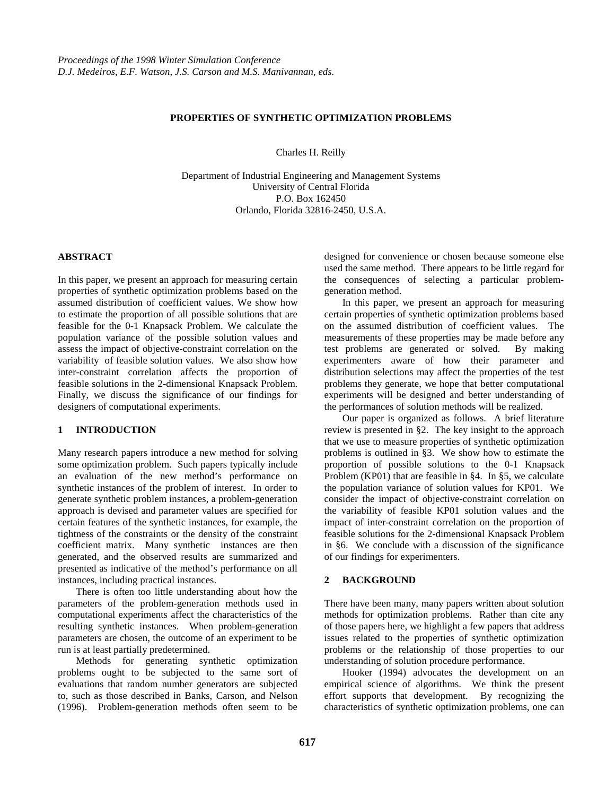# **PROPERTIES OF SYNTHETIC OPTIMIZATION PROBLEMS**

Charles H. Reilly

Department of Industrial Engineering and Management Systems University of Central Florida P.O. Box 162450 Orlando, Florida 32816-2450, U.S.A.

# **ABSTRACT**

In this paper, we present an approach for measuring certain properties of synthetic optimization problems based on the assumed distribution of coefficient values. We show how to estimate the proportion of all possible solutions that are feasible for the 0-1 Knapsack Problem. We calculate the population variance of the possible solution values and assess the impact of objective-constraint correlation on the variability of feasible solution values. We also show how inter-constraint correlation affects the proportion of feasible solutions in the 2-dimensional Knapsack Problem. Finally, we discuss the significance of our findings for designers of computational experiments.

# **1 INTRODUCTION**

Many research papers introduce a new method for solving some optimization problem. Such papers typically include an evaluation of the new method's performance on synthetic instances of the problem of interest. In order to generate synthetic problem instances, a problem-generation approach is devised and parameter values are specified for certain features of the synthetic instances, for example, the tightness of the constraints or the density of the constraint coefficient matrix. Many synthetic instances are then generated, and the observed results are summarized and presented as indicative of the method's performance on all instances, including practical instances.

There is often too little understanding about how the parameters of the problem-generation methods used in computational experiments affect the characteristics of the resulting synthetic instances. When problem-generation parameters are chosen, the outcome of an experiment to be run is at least partially predetermined.

Methods for generating synthetic optimization problems ought to be subjected to the same sort of evaluations that random number generators are subjected to, such as those described in Banks, Carson, and Nelson (1996). Problem-generation methods often seem to be

designed for convenience or chosen because someone else used the same method. There appears to be little regard for the consequences of selecting a particular problemgeneration method.

In this paper, we present an approach for measuring certain properties of synthetic optimization problems based on the assumed distribution of coefficient values. The measurements of these properties may be made before any test problems are generated or solved. By making experimenters aware of how their parameter and distribution selections may affect the properties of the test problems they generate, we hope that better computational experiments will be designed and better understanding of the performances of solution methods will be realized.

Our paper is organized as follows. A brief literature review is presented in §2. The key insight to the approach that we use to measure properties of synthetic optimization problems is outlined in §3. We show how to estimate the proportion of possible solutions to the 0-1 Knapsack Problem (KP01) that are feasible in §4. In §5, we calculate the population variance of solution values for KP01. We consider the impact of objective-constraint correlation on the variability of feasible KP01 solution values and the impact of inter-constraint correlation on the proportion of feasible solutions for the 2-dimensional Knapsack Problem in §6. We conclude with a discussion of the significance of our findings for experimenters.

# **2 BACKGROUND**

There have been many, many papers written about solution methods for optimization problems. Rather than cite any of those papers here, we highlight a few papers that address issues related to the properties of synthetic optimization problems or the relationship of those properties to our understanding of solution procedure performance.

Hooker (1994) advocates the development on an empirical science of algorithms. We think the present effort supports that development. By recognizing the characteristics of synthetic optimization problems, one can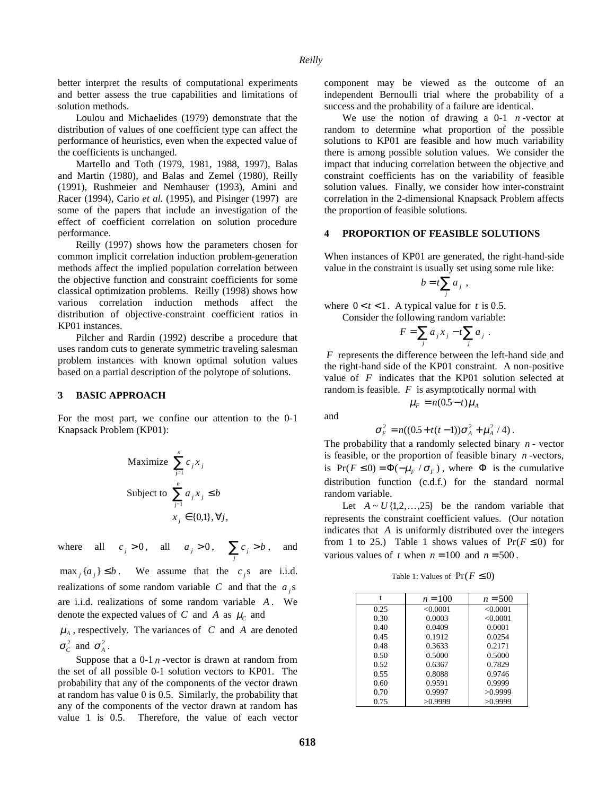better interpret the results of computational experiments and better assess the true capabilities and limitations of solution methods.

Loulou and Michaelides (1979) demonstrate that the distribution of values of one coefficient type can affect the performance of heuristics, even when the expected value of the coefficients is unchanged.

Martello and Toth (1979, 1981, 1988, 1997), Balas and Martin (1980), and Balas and Zemel (1980), Reilly (1991), Rushmeier and Nemhauser (1993), Amini and Racer (1994), Cario *et al.* (1995), and Pisinger (1997) are some of the papers that include an investigation of the effect of coefficient correlation on solution procedure performance.

Reilly (1997) shows how the parameters chosen for common implicit correlation induction problem-generation methods affect the implied population correlation between the objective function and constraint coefficients for some classical optimization problems. Reilly (1998) shows how various correlation induction methods affect the distribution of objective-constraint coefficient ratios in KP01 instances.

Pilcher and Rardin (1992) describe a procedure that uses random cuts to generate symmetric traveling salesman problem instances with known optimal solution values based on a partial description of the polytope of solutions.

#### **3 BASIC APPROACH**

For the most part, we confine our attention to the 0-1 Knapsack Problem (KP01):

Maximize 
$$
\sum_{j=1}^{n} c_j x_j
$$
  
Subject to  $\sum_{j=1}^{n} a_j x_j \le b$   
 $x_j \in \{0,1\}, \forall j$ ,

where all  $c_j > 0$ , all  $a_j > 0$ ,  $\sum_j c_j > b$ , and

max  $_{i}$  { $a_{i}$ }  $\leq b$ . We assume that the  $c_{i}$ s are i.i.d. realizations of some random variable  $C$  and that the  $a_i$ s are i.i.d. realizations of some random variable *A* . We denote the expected values of *C* and *A* as  $\mu_c$  and

 $\mu_A$ , respectively. The variances of *C* and *A* are denoted  $\sigma_c^2$  and  $\sigma_A^2$ .

Suppose that a  $0-1$   $n$  -vector is drawn at random from the set of all possible 0-1 solution vectors to KP01. The probability that any of the components of the vector drawn at random has value 0 is 0.5. Similarly, the probability that any of the components of the vector drawn at random has value 1 is 0.5. Therefore, the value of each vector component may be viewed as the outcome of an independent Bernoulli trial where the probability of a success and the probability of a failure are identical.

We use the notion of drawing a  $0-1$  *n*-vector at random to determine what proportion of the possible solutions to KP01 are feasible and how much variability there is among possible solution values. We consider the impact that inducing correlation between the objective and constraint coefficients has on the variability of feasible solution values. Finally, we consider how inter-constraint correlation in the 2-dimensional Knapsack Problem affects the proportion of feasible solutions.

#### **4 PROPORTION OF FEASIBLE SOLUTIONS**

When instances of KP01 are generated, the right-hand-side value in the constraint is usually set using some rule like:

$$
b = t \sum_j a_j ,
$$

where  $0 < t < 1$ . A typical value for *t* is 0.5. Consider the following random variable:

$$
F = \sum_j a_j x_j - t \sum_j a_j.
$$

*F* represents the difference between the left-hand side and the right-hand side of the KP01 constraint. A non-positive value of *F* indicates that the KP01 solution selected at random is feasible. *F* is asymptotically normal with

and

$$
\sigma_F^2 = n((0.5 + t(t-1))\sigma_A^2 + \mu_A^2/4).
$$

 $\mu_F = n(0.5 - t)\mu_A$ 

The probability that a randomly selected binary *n* - vector is feasible, or the proportion of feasible binary *n* -vectors, is  $Pr(F \le 0) = \Phi(-\mu_F / \sigma_F)$ , where  $\Phi$  is the cumulative distribution function (c.d.f.) for the standard normal random variable.

Let  $A \sim U\{1, 2, \ldots, 25\}$  be the random variable that represents the constraint coefficient values. (Our notation indicates that *A* is uniformly distributed over the integers from 1 to 25.) Table 1 shows values of  $Pr(F \le 0)$  for various values of *t* when  $n = 100$  and  $n = 500$ .

Table 1: Values of  $Pr(F \le 0)$ 

| $n = 100$ | $n = 500$ |
|-----------|-----------|
| < 0.0001  | < 0.0001  |
| 0.0003    | < 0.0001  |
| 0.0409    | 0.0001    |
| 0.1912    | 0.0254    |
| 0.3633    | 0.2171    |
| 0.5000    | 0.5000    |
| 0.6367    | 0.7829    |
| 0.8088    | 0.9746    |
| 0.9591    | 0.9999    |
| 0.9997    | >0.9999   |
| >0.9999   | >0.9999   |
|           |           |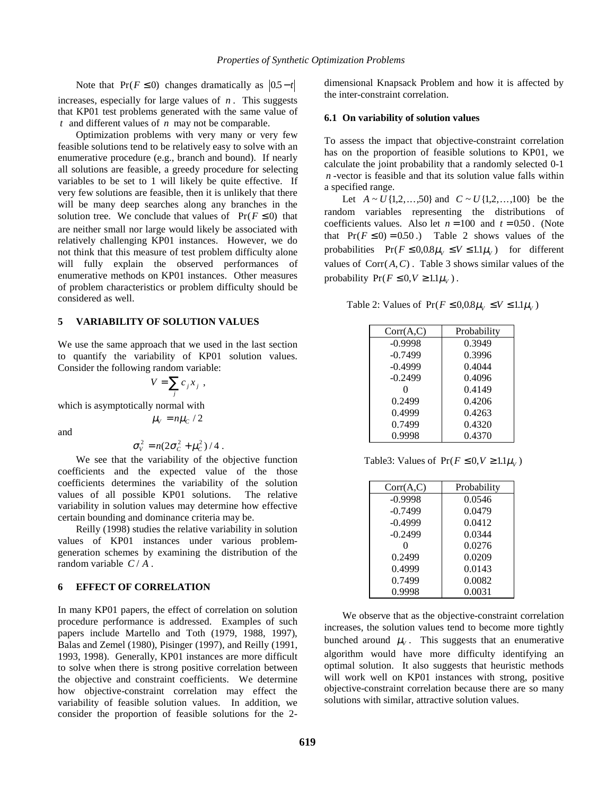Note that  $Pr(F \le 0)$  changes dramatically as  $|0.5 - t|$ increases, especially for large values of *n* . This suggests that KP01 test problems generated with the same value of *t* and different values of *n* may not be comparable.

Optimization problems with very many or very few feasible solutions tend to be relatively easy to solve with an enumerative procedure (e.g., branch and bound). If nearly all solutions are feasible, a greedy procedure for selecting variables to be set to 1 will likely be quite effective. If very few solutions are feasible, then it is unlikely that there will be many deep searches along any branches in the solution tree. We conclude that values of  $Pr(F \le 0)$  that are neither small nor large would likely be associated with relatively challenging KP01 instances. However, we do not think that this measure of test problem difficulty alone will fully explain the observed performances of enumerative methods on KP01 instances. Other measures of problem characteristics or problem difficulty should be considered as well.

#### **5 VARIABILITY OF SOLUTION VALUES**

We use the same approach that we used in the last section to quantify the variability of KP01 solution values. Consider the following random variable:

$$
V = \sum_j c_j x_j ,
$$

which is asymptotically normal with

 $\mu_V = n \mu_C / 2$ 

and

$$
\sigma_V^2 = n(2\sigma_C^2 + \mu_C^2)/4.
$$

We see that the variability of the objective function coefficients and the expected value of the those coefficients determines the variability of the solution values of all possible KP01 solutions. The relative variability in solution values may determine how effective certain bounding and dominance criteria may be.

Reilly (1998) studies the relative variability in solution values of KP01 instances under various problemgeneration schemes by examining the distribution of the random variable  $C/A$ .

## **6 EFFECT OF CORRELATION**

In many KP01 papers, the effect of correlation on solution procedure performance is addressed. Examples of such papers include Martello and Toth (1979, 1988, 1997), Balas and Zemel (1980), Pisinger (1997), and Reilly (1991, 1993, 1998). Generally, KP01 instances are more difficult to solve when there is strong positive correlation between the objective and constraint coefficients. We determine how objective-constraint correlation may effect the variability of feasible solution values. In addition, we consider the proportion of feasible solutions for the 2dimensional Knapsack Problem and how it is affected by the inter-constraint correlation.

### **6.1 On variability of solution values**

To assess the impact that objective-constraint correlation has on the proportion of feasible solutions to KP01, we calculate the joint probability that a randomly selected 0-1 *n* -vector is feasible and that its solution value falls within a specified range.

Let  $A \sim U\{1, 2, ..., 50\}$  and  $C \sim U\{1, 2, ..., 100\}$  be the random variables representing the distributions of coefficients values. Also let  $n = 100$  and  $t = 0.50$ . (Note that  $Pr(F \le 0) = 0.50$ . Table 2 shows values of the probabilities  $Pr(F \le 0.08\mu_V \le V \le 1.1\mu_V)$  for different values of  $Corr(A, C)$ . Table 3 shows similar values of the probability  $Pr(F \leq 0, V \geq 1.1\mu_V)$ .

Table 2: Values of  $Pr(F \le 0.08\mu_V \le V \le 1.1\mu_V)$ 

| Corr(A,C) | Probability |
|-----------|-------------|
| $-0.9998$ | 0.3949      |
| $-0.7499$ | 0.3996      |
| $-0.4999$ | 0.4044      |
| $-0.2499$ | 0.4096      |
| 0         | 0.4149      |
| 0.2499    | 0.4206      |
| 0.4999    | 0.4263      |
| 0.7499    | 0.4320      |
| 0.9998    | 0.4370      |

Table3: Values of  $Pr(F \le 0, V \ge 1.1\mu_V)$ 

| Corr(A,C) | Probability |
|-----------|-------------|
| $-0.9998$ | 0.0546      |
| $-0.7499$ | 0.0479      |
| $-0.4999$ | 0.0412      |
| $-0.2499$ | 0.0344      |
|           | 0.0276      |
| 0.2499    | 0.0209      |
| 0.4999    | 0.0143      |
| 0.7499    | 0.0082      |
| 0.9998    | 0.0031      |

We observe that as the objective-constraint correlation increases, the solution values tend to become more tightly bunched around  $\mu_V$ . This suggests that an enumerative algorithm would have more difficulty identifying an optimal solution. It also suggests that heuristic methods will work well on KP01 instances with strong, positive objective-constraint correlation because there are so many solutions with similar, attractive solution values.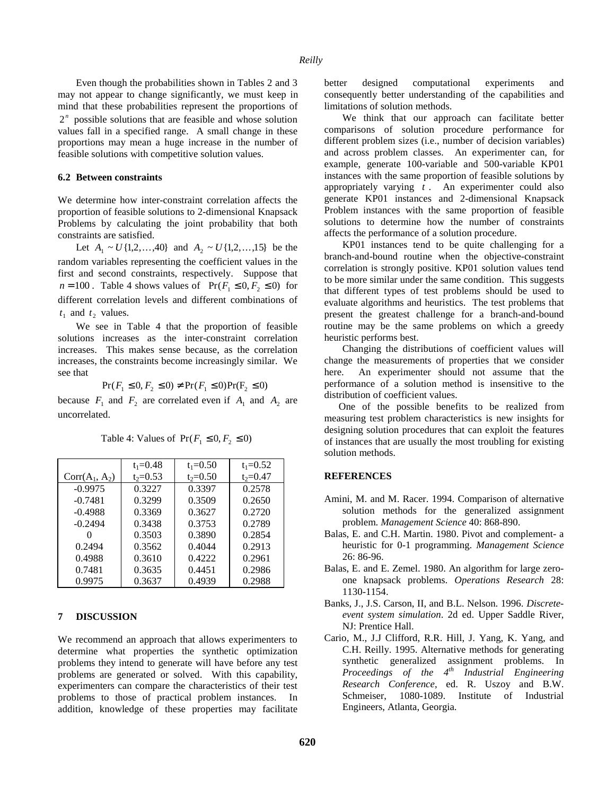Even though the probabilities shown in Tables 2 and 3 may not appear to change significantly, we must keep in mind that these probabilities represent the proportions of 2*<sup>n</sup>* possible solutions that are feasible and whose solution values fall in a specified range. A small change in these proportions may mean a huge increase in the number of feasible solutions with competitive solution values.

### **6.2 Between constraints**

We determine how inter-constraint correlation affects the proportion of feasible solutions to 2-dimensional Knapsack Problems by calculating the joint probability that both constraints are satisfied.

Let  $A_1 \sim U\{1, 2, ..., 40\}$  and  $A_2 \sim U\{1, 2, ..., 15\}$  be the random variables representing the coefficient values in the first and second constraints, respectively. Suppose that  $n = 100$ . Table 4 shows values of  $Pr(F_1 \le 0, F_2 \le 0)$  for different correlation levels and different combinations of  $t_1$  and  $t_2$  values.

We see in Table 4 that the proportion of feasible solutions increases as the inter-constraint correlation increases. This makes sense because, as the correlation increases, the constraints become increasingly similar. We see that

$$
Pr(F_1 \le 0, F_2 \le 0) \ne Pr(F_1 \le 0) Pr(F_2 \le 0)
$$

because  $F_1$  and  $F_2$  are correlated even if  $A_1$  and  $A_2$  are uncorrelated.

|                  | $t_1 = 0.48$ | $t_1 = 0.50$ | $t_1 = 0.52$ |
|------------------|--------------|--------------|--------------|
| $Corr(A_1, A_2)$ | $t_2 = 0.53$ | $t_2 = 0.50$ | $t_2 = 0.47$ |
| $-0.9975$        | 0.3227       | 0.3397       | 0.2578       |
| $-0.7481$        | 0.3299       | 0.3509       | 0.2650       |
| $-0.4988$        | 0.3369       | 0.3627       | 0.2720       |
| $-0.2494$        | 0.3438       | 0.3753       | 0.2789       |
|                  | 0.3503       | 0.3890       | 0.2854       |
| 0.2494           | 0.3562       | 0.4044       | 0.2913       |
| 0.4988           | 0.3610       | 0.4222       | 0.2961       |
| 0.7481           | 0.3635       | 0.4451       | 0.2986       |
| 0.9975           | 0.3637       | 0.4939       | 0.2988       |

Table 4: Values of  $Pr(F_1 \le 0, F_2 \le 0)$ 

# **7 DISCUSSION**

We recommend an approach that allows experimenters to determine what properties the synthetic optimization problems they intend to generate will have before any test problems are generated or solved. With this capability, experimenters can compare the characteristics of their test problems to those of practical problem instances. In addition, knowledge of these properties may facilitate

better designed computational experiments and consequently better understanding of the capabilities and limitations of solution methods.

We think that our approach can facilitate better comparisons of solution procedure performance for different problem sizes (i.e., number of decision variables) and across problem classes. An experimenter can, for example, generate 100-variable and 500-variable KP01 instances with the same proportion of feasible solutions by appropriately varying *t* . An experimenter could also generate KP01 instances and 2-dimensional Knapsack Problem instances with the same proportion of feasible solutions to determine how the number of constraints affects the performance of a solution procedure.

KP01 instances tend to be quite challenging for a branch-and-bound routine when the objective-constraint correlation is strongly positive. KP01 solution values tend to be more similar under the same condition. This suggests that different types of test problems should be used to evaluate algorithms and heuristics. The test problems that present the greatest challenge for a branch-and-bound routine may be the same problems on which a greedy heuristic performs best.

Changing the distributions of coefficient values will change the measurements of properties that we consider here. An experimenter should not assume that the performance of a solution method is insensitive to the distribution of coefficient values.

One of the possible benefits to be realized from measuring test problem characteristics is new insights for designing solution procedures that can exploit the features of instances that are usually the most troubling for existing solution methods.

#### **REFERENCES**

- Amini, M. and M. Racer. 1994. Comparison of alternative solution methods for the generalized assignment problem. *Management Science* 40: 868-890.
- Balas, E. and C.H. Martin. 1980. Pivot and complement- a heuristic for 0-1 programming. *Management Science* 26: 86-96.
- Balas, E. and E. Zemel. 1980. An algorithm for large zeroone knapsack problems. *Operations Research* 28: 1130-1154.
- Banks, J., J.S. Carson, II, and B.L. Nelson. 1996. *Discreteevent system simulation*. 2d ed. Upper Saddle River, NJ: Prentice Hall.
- Cario, M., J.J Clifford, R.R. Hill, J. Yang, K. Yang, and C.H. Reilly. 1995. Alternative methods for generating synthetic generalized assignment problems. In *Proceedings of the 4th Industrial Engineering Research Conference*, ed. R. Uszoy and B.W. Schmeiser, 1080-1089. Institute of Industrial Engineers, Atlanta, Georgia.